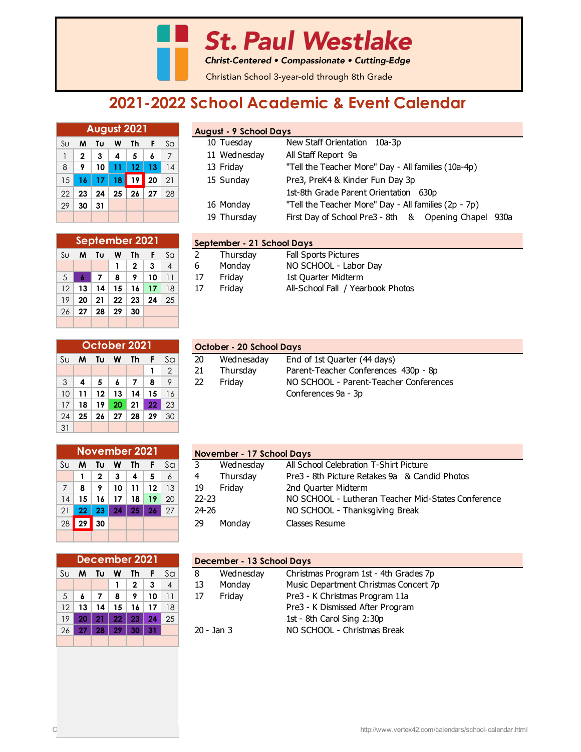**St. Paul Westlake** 

Christ-Centered • Compassionate • Cutting-Edge

Christian School 3-year-old through 8th Grade

## **2021-2022 School Academic & Event Calendar**

|    | August 2021     |                 |    |         |    |    |  |  |  |  |  |  |
|----|-----------------|-----------------|----|---------|----|----|--|--|--|--|--|--|
| SU | м               | Tυ              | W  | Th      | F  | Sa |  |  |  |  |  |  |
| 1  | $\mathbf{2}$    | 3               | 4  | 5       | 6  |    |  |  |  |  |  |  |
| 8  | 9               | 10              | 11 | 12      | 13 | 14 |  |  |  |  |  |  |
| 15 | 16 <sub>1</sub> | $\overline{17}$ | 18 | 19      | 20 | 21 |  |  |  |  |  |  |
| 22 | 23              | 24              | 25 | $26$ 27 |    | 28 |  |  |  |  |  |  |
| 29 | 30              | 31              |    |         |    |    |  |  |  |  |  |  |
|    |                 |                 |    |         |    |    |  |  |  |  |  |  |

|    | September 2021          |    |    |              |    |    |  |  |  |  |  |  |
|----|-------------------------|----|----|--------------|----|----|--|--|--|--|--|--|
| Sυ | Th<br>Τu<br>F<br>м<br>W |    |    |              |    |    |  |  |  |  |  |  |
|    |                         |    | 1  | $\mathbf{2}$ | 3  | 4  |  |  |  |  |  |  |
| 5  | 6                       | 7  | 8  | 9            | 10 | 11 |  |  |  |  |  |  |
| 12 | 13                      | 14 | 15 | 16           | 17 | 18 |  |  |  |  |  |  |
| 19 | 20                      | 21 | 22 | 23           | 24 | 25 |  |  |  |  |  |  |
| 26 | 27                      | 28 | 29 | 30           |    |    |  |  |  |  |  |  |
|    |                         |    |    |              |    |    |  |  |  |  |  |  |

|  |  | <b>August - 9 School Days</b> |  |
|--|--|-------------------------------|--|
|  |  |                               |  |

| Su             | M          | Tu | <b>W</b>         | Th              |              | Sa | 10 Tuesday   | New Staff Orientation 10a-3p                            |  |  |  |  |  |
|----------------|------------|----|------------------|-----------------|--------------|----|--------------|---------------------------------------------------------|--|--|--|--|--|
|                |            | 3  | $\boldsymbol{4}$ | 5               | -6           |    | 11 Wednesday | All Staff Report 9a                                     |  |  |  |  |  |
| 8 <sup>1</sup> | -9         | 10 |                  | 12 <sub>1</sub> | $ 13\rangle$ | 14 | 13 Friday    | "Tell the Teacher More" Day - All families (10a-4p)     |  |  |  |  |  |
|                | $15$ 16 17 |    | 18 <sup>1</sup>  | 19 20           |              | 21 | 15 Sunday    | Pre3, PreK4 & Kinder Fun Day 3p                         |  |  |  |  |  |
|                | $22$ 23    | 24 | 25               | 26              | 27           | 28 |              | 1st-8th Grade Parent Orientation 630p                   |  |  |  |  |  |
| 29             | 30         | 31 |                  |                 |              |    | 16 Monday    | "Tell the Teacher More" Day - All families (2p - 7p)    |  |  |  |  |  |
|                |            |    |                  |                 |              |    | 19 Thursday  | First Day of School Pre3 - 8th & Opening Chapel<br>930a |  |  |  |  |  |

| September 2021  |                      |    |    |    |    |     | September - 21 School Days      |                                   |  |  |  |
|-----------------|----------------------|----|----|----|----|-----|---------------------------------|-----------------------------------|--|--|--|
| Su              | M                    | Τu | W  | Th |    | Sa  | Thursdav                        | <b>Fall Sports Pictures</b>       |  |  |  |
|                 |                      |    |    |    |    | 4   | NO SCHOOL - Labor Day<br>Monday |                                   |  |  |  |
| $5 \vert$       |                      |    | 8  | ۰  | 10 |     | 1st Quarter Midterm<br>Fridav   |                                   |  |  |  |
| 12 <sup>1</sup> | 13                   | 14 | 15 |    |    | 18  | Fridav                          | All-School Fall / Yearbook Photos |  |  |  |
|                 | $10 \mid 20 \mid 21$ |    | າາ | າາ |    | OF. |                                 |                                   |  |  |  |

|    | October 2021                   |    |     |    |    |                |  |  |  |  |  |  |
|----|--------------------------------|----|-----|----|----|----------------|--|--|--|--|--|--|
| Su | F.<br>Sa<br>Th<br>W<br>M<br>Tυ |    |     |    |    |                |  |  |  |  |  |  |
|    |                                |    |     |    | 1  | $\overline{2}$ |  |  |  |  |  |  |
| 3  | 4                              | 5  | 6   | 7  | 8  | 9              |  |  |  |  |  |  |
| 10 | 11                             | 12 | 13  | 14 | 15 | 16             |  |  |  |  |  |  |
| 17 | 18                             | 19 | 20  | 21 | 22 | 23             |  |  |  |  |  |  |
| 24 | 25                             | 26 | -27 | 28 | 29 | 30             |  |  |  |  |  |  |
| 31 |                                |    |     |    |    |                |  |  |  |  |  |  |

| October 2021 |                 |                 |                |                 |                 |                                 |    | October - 20 School Days                         |                                      |  |  |  |
|--------------|-----------------|-----------------|----------------|-----------------|-----------------|---------------------------------|----|--------------------------------------------------|--------------------------------------|--|--|--|
|              |                 |                 |                |                 |                 | Su <b>M</b> Tu <b>W</b> Th F Sa | 20 | Wednesaday                                       | End of 1st Quarter (44 days)         |  |  |  |
|              |                 |                 |                |                 |                 | $\left(2\right)$                | 21 | Thursdav                                         | Parent-Teacher Conferences 430p - 8p |  |  |  |
|              | $3 \mid 4 \mid$ | 5 <sup>1</sup>  | $\overline{6}$ |                 | -8              | 9                               | 22 | NO SCHOOL - Parent-Teacher Conferences<br>Fridav |                                      |  |  |  |
|              | $10$ 11         | 12 <sup>1</sup> | 13             | 14 <sup>1</sup> | 15 <sup>1</sup> |                                 |    | Conferences 9a - 3p                              |                                      |  |  |  |
|              |                 |                 |                |                 |                 |                                 |    |                                                  |                                      |  |  |  |

|    | <b>November 2021</b>           |              |    |    |         |                |  |  |  |  |  |  |
|----|--------------------------------|--------------|----|----|---------|----------------|--|--|--|--|--|--|
| Su | Sa<br>Tυ<br>F.<br>Th<br>M<br>W |              |    |    |         |                |  |  |  |  |  |  |
|    | 1                              | $\mathbf{2}$ | 3  | 4  | 5       | $\overline{6}$ |  |  |  |  |  |  |
| 7  | 8                              | 9            | 10 | 11 | $12 \,$ | 13             |  |  |  |  |  |  |
| 14 | 15                             | 16           | 17 | 18 | 19      | 20             |  |  |  |  |  |  |
| 21 | 22 <sub>2</sub>                | 23           | 24 | 25 | 26      | 27             |  |  |  |  |  |  |
| 28 | 29                             | 30           |    |    |         |                |  |  |  |  |  |  |
|    |                                |              |    |    |         |                |  |  |  |  |  |  |

|    | December 2021                               |                |    |              |    |                |  |  |  |  |  |  |
|----|---------------------------------------------|----------------|----|--------------|----|----------------|--|--|--|--|--|--|
| Sυ | Th<br>Sa<br>Τυ<br>W<br>F.<br>M              |                |    |              |    |                |  |  |  |  |  |  |
|    |                                             |                | 1  | $\mathbf{2}$ | 3  | $\overline{4}$ |  |  |  |  |  |  |
| 5  | 6                                           | $\overline{7}$ | 8  | 9            | 10 | 11             |  |  |  |  |  |  |
| 12 | 13                                          | 14             | 15 | 16           | 17 | 18             |  |  |  |  |  |  |
| 19 | 20                                          | 21             | 22 | 23           | 24 | 25             |  |  |  |  |  |  |
| 26 | $28 \mid 29$<br>27 <sub>2</sub><br>30<br>31 |                |    |              |    |                |  |  |  |  |  |  |
|    |                                             |                |    |              |    |                |  |  |  |  |  |  |

|    |      | November 2021 |          |                 |     |    |               | November - 17 School Days                          |  |  |  |  |
|----|------|---------------|----------|-----------------|-----|----|---------------|----------------------------------------------------|--|--|--|--|
|    | Su M | Tu            | <b>W</b> | - Th            | - F | Sa | Wednesday     | All School Celebration T-Shirt Picture             |  |  |  |  |
|    |      | 2             | -3       | 4               | 5   | 6  | Thursday<br>4 | Pre3 - 8th Picture Retakes 9a & Candid Photos      |  |  |  |  |
|    | 8    | o             | 10       |                 | 12  | 13 | Fridav<br>19  | 2nd Quarter Midterm                                |  |  |  |  |
| 14 | 15   | 16            | 17       | 18              | 19  | 20 | $22 - 23$     | NO SCHOOL - Lutheran Teacher Mid-States Conference |  |  |  |  |
| 21 | 22   | 23            | 24       | 25 <sub>1</sub> | 26  | 27 | $24 - 26$     | NO SCHOOL - Thanksgiving Break                     |  |  |  |  |
| 28 | 29   | 30            |          |                 |     |    | 29<br>Mondav  | Classes Resume                                     |  |  |  |  |
|    |      |               |          |                 |     |    |               |                                                    |  |  |  |  |

|     | December 2021 |    |     |              |    |                |                | December - 13 School Days             |  |  |  |  |
|-----|---------------|----|-----|--------------|----|----------------|----------------|---------------------------------------|--|--|--|--|
| Sul | M             | Tυ | W   | Th           |    | Sa             | Wednesday<br>8 | Christmas Program 1st - 4th Grades 7p |  |  |  |  |
|     |               |    |     | $\mathbf{2}$ | 3  | $\overline{A}$ | Monday<br>13   | Music Department Christmas Concert 7p |  |  |  |  |
| 5   |               |    | 8   | o            | 10 |                | Friday<br>17   | Pre3 - K Christmas Program 11a        |  |  |  |  |
| 12  | 13            | 14 | 15  | 16           |    | 18             |                | Pre3 - K Dismissed After Program      |  |  |  |  |
| 19  |               |    | 22  | 23           | 24 | 25             |                | 1st - 8th Carol Sing 2:30p            |  |  |  |  |
| 26  |               | 28 | -29 | 30           | 31 |                | $20 - Jan 3$   | NO SCHOOL - Christmas Break           |  |  |  |  |
|     |               |    |     |              |    |                |                |                                       |  |  |  |  |